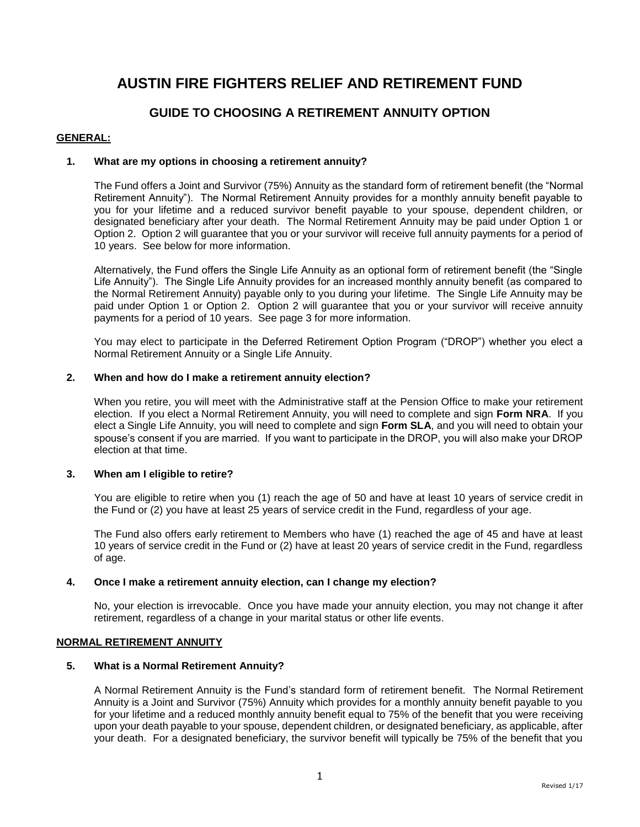# **AUSTIN FIRE FIGHTERS RELIEF AND RETIREMENT FUND**

# **GUIDE TO CHOOSING A RETIREMENT ANNUITY OPTION**

# **GENERAL:**

# **1. What are my options in choosing a retirement annuity?**

The Fund offers a Joint and Survivor (75%) Annuity as the standard form of retirement benefit (the "Normal Retirement Annuity"). The Normal Retirement Annuity provides for a monthly annuity benefit payable to you for your lifetime and a reduced survivor benefit payable to your spouse, dependent children, or designated beneficiary after your death. The Normal Retirement Annuity may be paid under Option 1 or Option 2. Option 2 will guarantee that you or your survivor will receive full annuity payments for a period of 10 years. See below for more information.

Alternatively, the Fund offers the Single Life Annuity as an optional form of retirement benefit (the "Single Life Annuity"). The Single Life Annuity provides for an increased monthly annuity benefit (as compared to the Normal Retirement Annuity) payable only to you during your lifetime. The Single Life Annuity may be paid under Option 1 or Option 2. Option 2 will guarantee that you or your survivor will receive annuity payments for a period of 10 years. See page 3 for more information.

You may elect to participate in the Deferred Retirement Option Program ("DROP") whether you elect a Normal Retirement Annuity or a Single Life Annuity.

# **2. When and how do I make a retirement annuity election?**

When you retire, you will meet with the Administrative staff at the Pension Office to make your retirement election. If you elect a Normal Retirement Annuity, you will need to complete and sign **Form NRA**. If you elect a Single Life Annuity, you will need to complete and sign **Form SLA**, and you will need to obtain your spouse's consent if you are married. If you want to participate in the DROP, you will also make your DROP election at that time.

# **3. When am I eligible to retire?**

You are eligible to retire when you (1) reach the age of 50 and have at least 10 years of service credit in the Fund or (2) you have at least 25 years of service credit in the Fund, regardless of your age.

The Fund also offers early retirement to Members who have (1) reached the age of 45 and have at least 10 years of service credit in the Fund or (2) have at least 20 years of service credit in the Fund, regardless of age.

# **4. Once I make a retirement annuity election, can I change my election?**

No, your election is irrevocable. Once you have made your annuity election, you may not change it after retirement, regardless of a change in your marital status or other life events.

# **NORMAL RETIREMENT ANNUITY**

# **5. What is a Normal Retirement Annuity?**

A Normal Retirement Annuity is the Fund's standard form of retirement benefit. The Normal Retirement Annuity is a Joint and Survivor (75%) Annuity which provides for a monthly annuity benefit payable to you for your lifetime and a reduced monthly annuity benefit equal to 75% of the benefit that you were receiving upon your death payable to your spouse, dependent children, or designated beneficiary, as applicable, after your death. For a designated beneficiary, the survivor benefit will typically be 75% of the benefit that you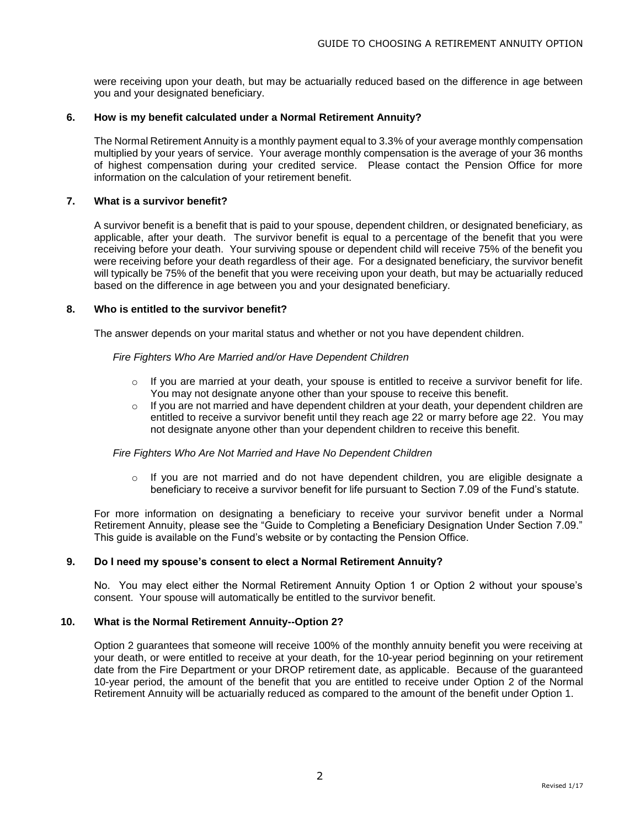were receiving upon your death, but may be actuarially reduced based on the difference in age between you and your designated beneficiary.

# **6. How is my benefit calculated under a Normal Retirement Annuity?**

The Normal Retirement Annuity is a monthly payment equal to 3.3% of your average monthly compensation multiplied by your years of service. Your average monthly compensation is the average of your 36 months of highest compensation during your credited service. Please contact the Pension Office for more information on the calculation of your retirement benefit.

# **7. What is a survivor benefit?**

A survivor benefit is a benefit that is paid to your spouse, dependent children, or designated beneficiary, as applicable, after your death. The survivor benefit is equal to a percentage of the benefit that you were receiving before your death. Your surviving spouse or dependent child will receive 75% of the benefit you were receiving before your death regardless of their age. For a designated beneficiary, the survivor benefit will typically be 75% of the benefit that you were receiving upon your death, but may be actuarially reduced based on the difference in age between you and your designated beneficiary.

# **8. Who is entitled to the survivor benefit?**

The answer depends on your marital status and whether or not you have dependent children.

# *Fire Fighters Who Are Married and/or Have Dependent Children*

- $\circ$  If you are married at your death, your spouse is entitled to receive a survivor benefit for life. You may not designate anyone other than your spouse to receive this benefit.
- $\circ$  If you are not married and have dependent children at your death, your dependent children are entitled to receive a survivor benefit until they reach age 22 or marry before age 22. You may not designate anyone other than your dependent children to receive this benefit.

# *Fire Fighters Who Are Not Married and Have No Dependent Children*

 $\circ$  If you are not married and do not have dependent children, you are eligible designate a beneficiary to receive a survivor benefit for life pursuant to Section 7.09 of the Fund's statute.

For more information on designating a beneficiary to receive your survivor benefit under a Normal Retirement Annuity, please see the "Guide to Completing a Beneficiary Designation Under Section 7.09." This guide is available on the Fund's website or by contacting the Pension Office.

# **9. Do I need my spouse's consent to elect a Normal Retirement Annuity?**

No. You may elect either the Normal Retirement Annuity Option 1 or Option 2 without your spouse's consent. Your spouse will automatically be entitled to the survivor benefit.

# **10. What is the Normal Retirement Annuity--Option 2?**

Option 2 guarantees that someone will receive 100% of the monthly annuity benefit you were receiving at your death, or were entitled to receive at your death, for the 10-year period beginning on your retirement date from the Fire Department or your DROP retirement date, as applicable. Because of the guaranteed 10-year period, the amount of the benefit that you are entitled to receive under Option 2 of the Normal Retirement Annuity will be actuarially reduced as compared to the amount of the benefit under Option 1.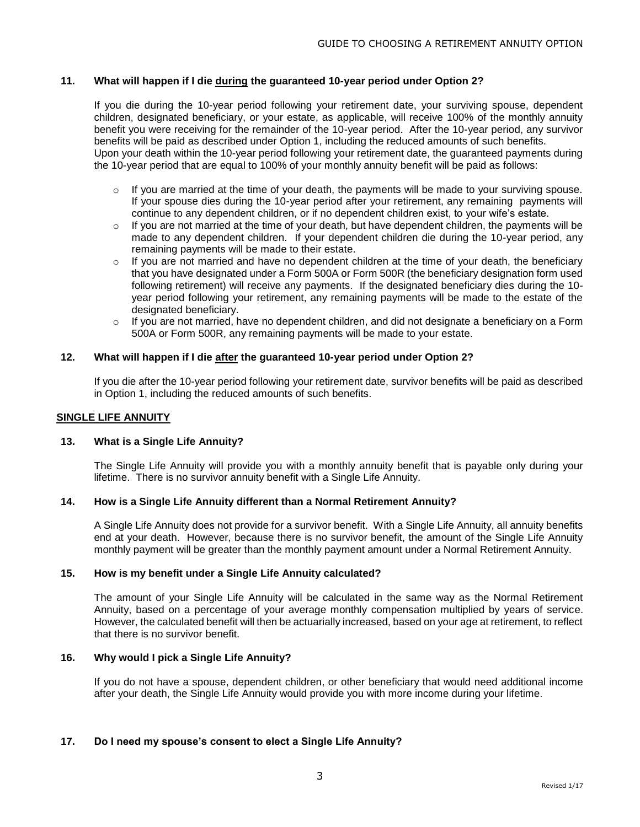# **11. What will happen if I die during the guaranteed 10-year period under Option 2?**

If you die during the 10-year period following your retirement date, your surviving spouse, dependent children, designated beneficiary, or your estate, as applicable, will receive 100% of the monthly annuity benefit you were receiving for the remainder of the 10-year period. After the 10-year period, any survivor benefits will be paid as described under Option 1, including the reduced amounts of such benefits. Upon your death within the 10-year period following your retirement date, the guaranteed payments during the 10-year period that are equal to 100% of your monthly annuity benefit will be paid as follows:

- $\circ$  If you are married at the time of your death, the payments will be made to your surviving spouse. If your spouse dies during the 10-year period after your retirement, any remaining payments will continue to any dependent children, or if no dependent children exist, to your wife's estate.
- $\circ$  If you are not married at the time of your death, but have dependent children, the payments will be made to any dependent children. If your dependent children die during the 10-year period, any remaining payments will be made to their estate.
- If you are not married and have no dependent children at the time of your death, the beneficiary that you have designated under a Form 500A or Form 500R (the beneficiary designation form used following retirement) will receive any payments. If the designated beneficiary dies during the 10 year period following your retirement, any remaining payments will be made to the estate of the designated beneficiary.
- $\circ$  If you are not married, have no dependent children, and did not designate a beneficiary on a Form 500A or Form 500R, any remaining payments will be made to your estate.

# **12. What will happen if I die after the guaranteed 10-year period under Option 2?**

If you die after the 10-year period following your retirement date, survivor benefits will be paid as described in Option 1, including the reduced amounts of such benefits.

# **SINGLE LIFE ANNUITY**

# **13. What is a Single Life Annuity?**

The Single Life Annuity will provide you with a monthly annuity benefit that is payable only during your lifetime. There is no survivor annuity benefit with a Single Life Annuity.

# **14. How is a Single Life Annuity different than a Normal Retirement Annuity?**

A Single Life Annuity does not provide for a survivor benefit. With a Single Life Annuity, all annuity benefits end at your death. However, because there is no survivor benefit, the amount of the Single Life Annuity monthly payment will be greater than the monthly payment amount under a Normal Retirement Annuity.

# **15. How is my benefit under a Single Life Annuity calculated?**

The amount of your Single Life Annuity will be calculated in the same way as the Normal Retirement Annuity, based on a percentage of your average monthly compensation multiplied by years of service. However, the calculated benefit will then be actuarially increased, based on your age at retirement, to reflect that there is no survivor benefit.

# **16. Why would I pick a Single Life Annuity?**

If you do not have a spouse, dependent children, or other beneficiary that would need additional income after your death, the Single Life Annuity would provide you with more income during your lifetime.

# **17. Do I need my spouse's consent to elect a Single Life Annuity?**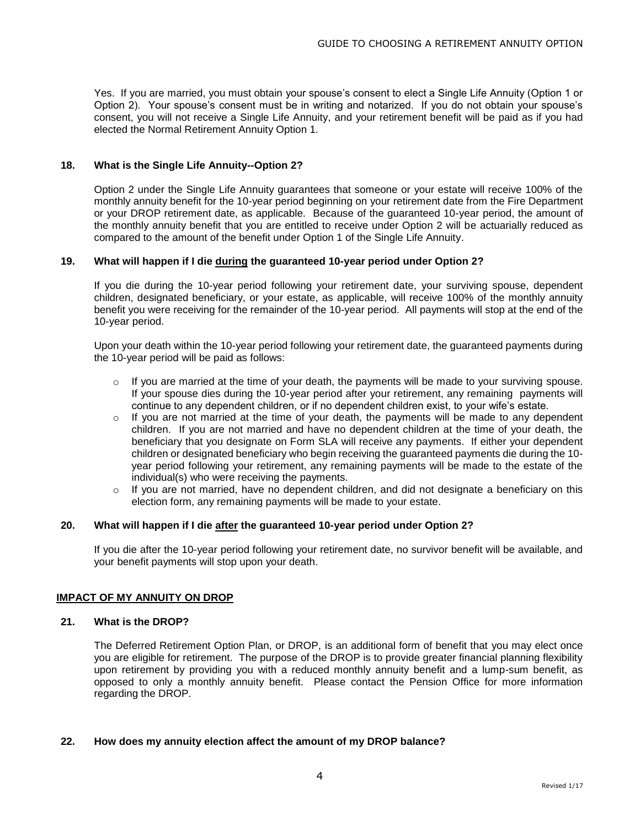Yes. If you are married, you must obtain your spouse's consent to elect a Single Life Annuity (Option 1 or Option 2). Your spouse's consent must be in writing and notarized. If you do not obtain your spouse's consent, you will not receive a Single Life Annuity, and your retirement benefit will be paid as if you had elected the Normal Retirement Annuity Option 1.

# **18. What is the Single Life Annuity--Option 2?**

Option 2 under the Single Life Annuity guarantees that someone or your estate will receive 100% of the monthly annuity benefit for the 10-year period beginning on your retirement date from the Fire Department or your DROP retirement date, as applicable. Because of the guaranteed 10-year period, the amount of the monthly annuity benefit that you are entitled to receive under Option 2 will be actuarially reduced as compared to the amount of the benefit under Option 1 of the Single Life Annuity.

# **19. What will happen if I die during the guaranteed 10-year period under Option 2?**

If you die during the 10-year period following your retirement date, your surviving spouse, dependent children, designated beneficiary, or your estate, as applicable, will receive 100% of the monthly annuity benefit you were receiving for the remainder of the 10-year period. All payments will stop at the end of the 10-year period.

Upon your death within the 10-year period following your retirement date, the guaranteed payments during the 10-year period will be paid as follows:

- $\circ$  If you are married at the time of your death, the payments will be made to your surviving spouse. If your spouse dies during the 10-year period after your retirement, any remaining payments will continue to any dependent children, or if no dependent children exist, to your wife's estate.
- $\circ$  If you are not married at the time of your death, the payments will be made to any dependent children. If you are not married and have no dependent children at the time of your death, the beneficiary that you designate on Form SLA will receive any payments. If either your dependent children or designated beneficiary who begin receiving the guaranteed payments die during the 10 year period following your retirement, any remaining payments will be made to the estate of the individual(s) who were receiving the payments.
- o If you are not married, have no dependent children, and did not designate a beneficiary on this election form, any remaining payments will be made to your estate.

# **20. What will happen if I die after the guaranteed 10-year period under Option 2?**

If you die after the 10-year period following your retirement date, no survivor benefit will be available, and your benefit payments will stop upon your death.

# **IMPACT OF MY ANNUITY ON DROP**

# **21. What is the DROP?**

The Deferred Retirement Option Plan, or DROP, is an additional form of benefit that you may elect once you are eligible for retirement. The purpose of the DROP is to provide greater financial planning flexibility upon retirement by providing you with a reduced monthly annuity benefit and a lump-sum benefit, as opposed to only a monthly annuity benefit. Please contact the Pension Office for more information regarding the DROP.

# **22. How does my annuity election affect the amount of my DROP balance?**